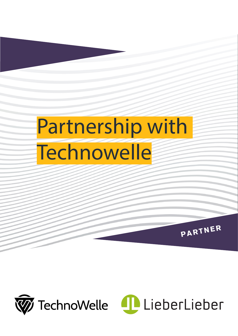## Partnership with **Technowelle**



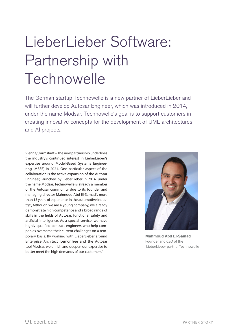### LieberLieber Software: Partnership with **Technowelle**

The German startup Technowelle is a new partner of LieberLieber and will further develop Autosar Engineer, which was introduced in 2014, under the name Modsar. Technowelle's goal is to support customers in creating innovative concepts for the development of UML architectures and AI projects.

Vienna/Darmstadt – The new partnership underlines the industry's continued interest in LieberLieber's expertise around Model-Based Systems Engineering (MBSE) in 2021. One particular aspect of the collaboration is the active expansion of the Autosar Engineer, launched by LieberLieber in 2014, under the name Modsar. Technowelle is already a member of the Autosar community due to its founder and managing director Mahmoud Abd El-Samad's more than 15 years of experience in the automotive industry: "Although we are a young company, we already demonstrate high competence and a broad range of skills in the fields of Autosar, functional safety and artificial intelligence. As a special service, we have highly qualified contract engineers who help companies overcome their current challenges on a temporary basis. By working with LieberLieber around Enterprise Architect, LemonTree and the Autosar tool Modsar, we enrich and deepen our expertise to better meet the high demands of our customers."



**Mahmoud Abd El-Samad** Founder and CEO of the LieberLieber partner Technowelle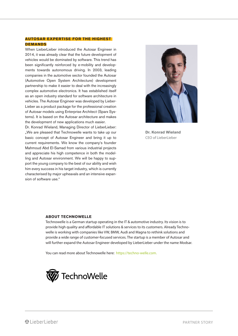#### **AUTOSAR EXPERTISE FOR THE HIGHEST DEMANDS**

When LieberLieber introduced the Autosar Engineer in 2014, it was already clear that the future development of vehicles would be dominated by software. This trend has been significantly reinforced by e-mobility and developments towards autonomous driving. In 2003, leading companies in the automotive sector founded the Autosar (Automotive Open System Architecture) development partnership to make it easier to deal with the increasingly complex automotive electronics. It has established itself as an open industry standard for software architecture in vehicles. The Autosar Engineer was developed by Lieber-Lieber as a product package for the professional creation of Autosar models using Enterprise Architect (Sparx Systems). It is based on the Autosar architecture and makes the development of new applications much easier.

Dr. Konrad Wieland, Managing Director of LieberLieber: "We are pleased that Technowelle wants to take up our basic concept of Autosar Engineer and bring it up to current requirements. We know the company's founder Mahmoud Abd El-Samad from various industrial projects and appreciate his high competence in both the modelling and Autosar environment. We will be happy to support the young company to the best of our ability and wish him every success in his target industry, which is currently characterised by major upheavals and an intensive expansion of software use."



**Dr. Konrad Wieland** CEO of LieberLieber

#### **ABOUT TECHNOWELLE**

Technowelle is a German startup operating in the IT & automotive industry. Its vision is to provide high quality and affordable IT solutions & services to its customers. Already Technowelle is working with companies like VW, BMW, Audi and Magna to rethink solutions and provide a wide range of customer-focused services. The startup is a member of Autosar and will further expand the Autosar Engineer developed by LieberLieber under the name Modsar.

You can read more about Technowelle here: https://techno-welle.com.